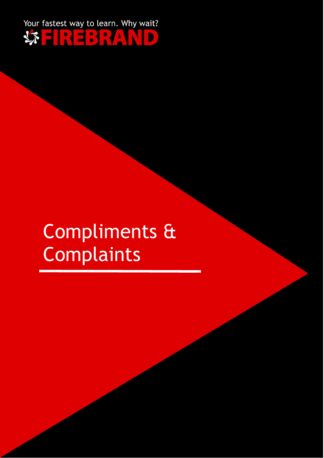

# Compliments & **Complaints**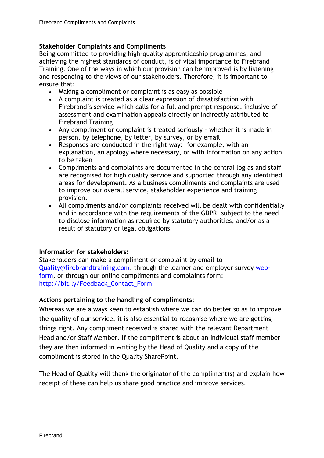### **Stakeholder Complaints and Compliments**

Being committed to providing high-quality apprenticeship programmes, and achieving the highest standards of conduct, is of vital importance to Firebrand Training. One of the ways in which our provision can be improved is by listening and responding to the views of our stakeholders. Therefore, it is important to ensure that:

- Making a compliment or complaint is as easy as possible
- A complaint is treated as a clear expression of dissatisfaction with Firebrand's service which calls for a full and prompt response, inclusive of assessment and examination appeals directly or indirectly attributed to Firebrand Training
- Any compliment or complaint is treated seriously whether it is made in person, by telephone, by letter, by survey, or by email
- Responses are conducted in the right way: for example, with an explanation, an apology where necessary, or with information on any action to be taken
- Compliments and complaints are documented in the central log as and staff are recognised for high quality service and supported through any identified areas for development. As a business compliments and complaints are used to improve our overall service, stakeholder experience and training provision.
- All compliments and/or complaints received will be dealt with confidentially and in accordance with the requirements of the GDPR, subject to the need to disclose information as required by statutory authorities, and/or as a result of statutory or legal obligations.

#### **Information for stakeholders:**

Stakeholders can make a compliment or complaint by email to [Quality@firebrandtraining.com,](mailto:Quality@firebrandtraining.com) through the learner and employer survey [web](https://ignite.onefile.co.uk/igniteforms/C9d6akRIMG)[form,](https://ignite.onefile.co.uk/igniteforms/C9d6akRIMG) or through our online compliments and complaints form: [http://bit.ly/Feedback\\_Contact\\_Form](http://bit.ly/Feedback_Contact_Form)

#### **Actions pertaining to the handling of compliments:**

Whereas we are always keen to establish where we can do better so as to improve the quality of our service, it is also essential to recognise where we are getting things right. Any compliment received is shared with the relevant Department Head and/or Staff Member. If the compliment is about an individual staff member they are then informed in writing by the Head of Quality and a copy of the compliment is stored in the Quality SharePoint.

The Head of Quality will thank the originator of the compliment(s) and explain how receipt of these can help us share good practice and improve services.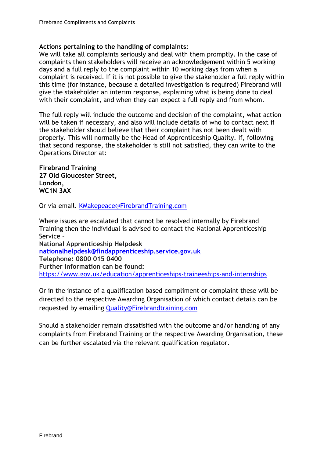#### **Actions pertaining to the handling of complaints:**

We will take all complaints seriously and deal with them promptly. In the case of complaints then stakeholders will receive an acknowledgement within 5 working days and a full reply to the complaint within 10 working days from when a complaint is received. If it is not possible to give the stakeholder a full reply within this time (for instance, because a detailed investigation is required) Firebrand will give the stakeholder an interim response, explaining what is being done to deal with their complaint, and when they can expect a full reply and from whom.

The full reply will include the outcome and decision of the complaint, what action will be taken if necessary, and also will include details of who to contact next if the stakeholder should believe that their complaint has not been dealt with properly. This will normally be the Head of Apprenticeship Quality. If, following that second response, the stakeholder is still not satisfied, they can write to the Operations Director at:

**Firebrand Training 27 Old Gloucester Street, London, WC1N 3AX**

Or via email. [KMakepeace@FirebrandTraining.com](mailto:KMakepeace@FirebrandTraining.com)

Where issues are escalated that cannot be resolved internally by Firebrand Training then the individual is advised to contact the National Apprenticeship Service – **National Apprenticeship Helpdesk [nationalhelpdesk@findapprenticeship.service.gov.uk](mailto:nationalhelpdesk@findapprenticeship.service.gov.uk) Telephone: 0800 015 0400 Further information can be found:** 

<https://www.gov.uk/education/apprenticeships-traineeships-and-internships>

Or in the instance of a qualification based compliment or complaint these will be directed to the respective Awarding Organisation of which contact details can be requested by emailing [Quality@Firebrandtraining.com](mailto:Quality@Firebrandtraining.com)

Should a stakeholder remain dissatisfied with the outcome and/or handling of any complaints from Firebrand Training or the respective Awarding Organisation, these can be further escalated via the relevant qualification regulator.